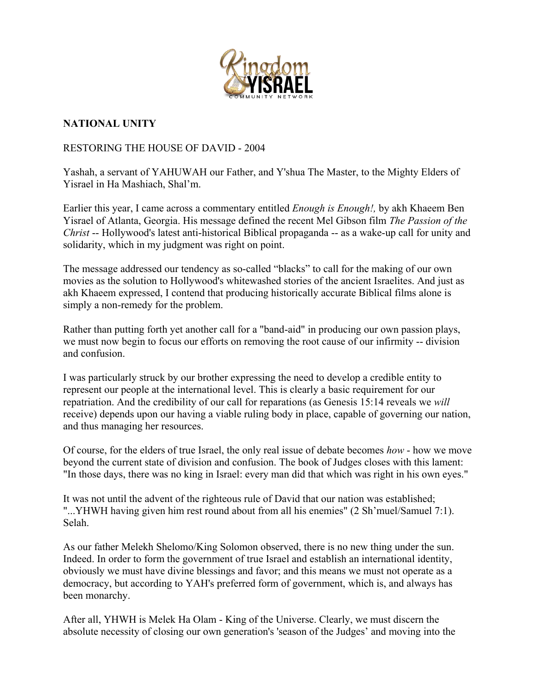

## **NATIONAL UNITY**

## RESTORING THE HOUSE OF DAVID - 2004

Yashah, a servant of YAHUWAH our Father, and Y'shua The Master, to the Mighty Elders of Yisrael in Ha Mashiach, Shal'm.

Earlier this year, I came across a commentary entitled *Enough is Enough!,* by akh Khaeem Ben Yisrael of Atlanta, Georgia. His message defined the recent Mel Gibson film *The Passion of the Christ* -- Hollywood's latest anti-historical Biblical propaganda -- as a wake-up call for unity and solidarity, which in my judgment was right on point.

The message addressed our tendency as so-called "blacks" to call for the making of our own movies as the solution to Hollywood's whitewashed stories of the ancient Israelites. And just as akh Khaeem expressed, I contend that producing historically accurate Biblical films alone is simply a non-remedy for the problem.

Rather than putting forth yet another call for a "band-aid" in producing our own passion plays, we must now begin to focus our efforts on removing the root cause of our infirmity -- division and confusion.

I was particularly struck by our brother expressing the need to develop a credible entity to represent our people at the international level. This is clearly a basic requirement for our repatriation. And the credibility of our call for reparations (as Genesis 15:14 reveals we *will* receive) depends upon our having a viable ruling body in place, capable of governing our nation, and thus managing her resources.

Of course, for the elders of true Israel, the only real issue of debate becomes *how* - how we move beyond the current state of division and confusion. The book of Judges closes with this lament: "In those days, there was no king in Israel: every man did that which was right in his own eyes."

It was not until the advent of the righteous rule of David that our nation was established; "...YHWH having given him rest round about from all his enemies" (2 Sh'muel/Samuel 7:1). Selah.

As our father Melekh Shelomo/King Solomon observed, there is no new thing under the sun. Indeed. In order to form the government of true Israel and establish an international identity, obviously we must have divine blessings and favor; and this means we must not operate as a democracy, but according to YAH's preferred form of government, which is, and always has been monarchy.

After all, YHWH is Melek Ha Olam - King of the Universe. Clearly, we must discern the absolute necessity of closing our own generation's 'season of the Judges' and moving into the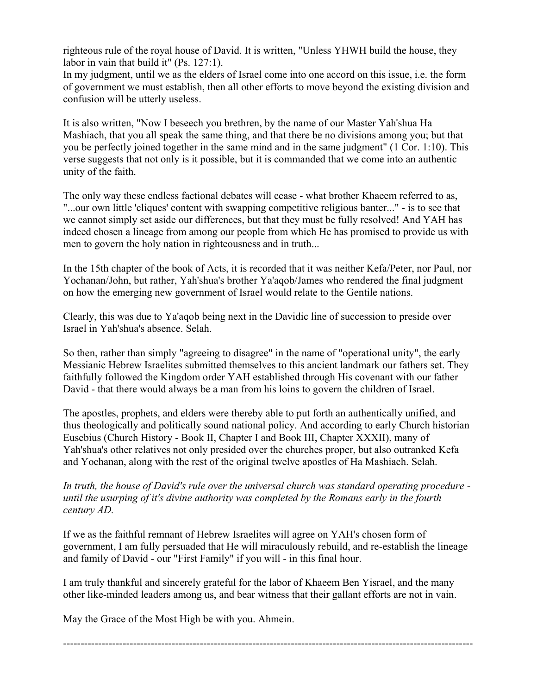righteous rule of the royal house of David. It is written, "Unless YHWH build the house, they labor in vain that build it" (Ps. 127:1).

In my judgment, until we as the elders of Israel come into one accord on this issue, i.e. the form of government we must establish, then all other efforts to move beyond the existing division and confusion will be utterly useless.

It is also written, "Now I beseech you brethren, by the name of our Master Yah'shua Ha Mashiach, that you all speak the same thing, and that there be no divisions among you; but that you be perfectly joined together in the same mind and in the same judgment" (1 Cor. 1:10). This verse suggests that not only is it possible, but it is commanded that we come into an authentic unity of the faith.

The only way these endless factional debates will cease - what brother Khaeem referred to as, "...our own little 'cliques' content with swapping competitive religious banter..." - is to see that we cannot simply set aside our differences, but that they must be fully resolved! And YAH has indeed chosen a lineage from among our people from which He has promised to provide us with men to govern the holy nation in righteousness and in truth...

In the 15th chapter of the book of Acts, it is recorded that it was neither Kefa/Peter, nor Paul, nor Yochanan/John, but rather, Yah'shua's brother Ya'aqob/James who rendered the final judgment on how the emerging new government of Israel would relate to the Gentile nations.

Clearly, this was due to Ya'aqob being next in the Davidic line of succession to preside over Israel in Yah'shua's absence. Selah.

So then, rather than simply "agreeing to disagree" in the name of "operational unity", the early Messianic Hebrew Israelites submitted themselves to this ancient landmark our fathers set. They faithfully followed the Kingdom order YAH established through His covenant with our father David - that there would always be a man from his loins to govern the children of Israel.

The apostles, prophets, and elders were thereby able to put forth an authentically unified, and thus theologically and politically sound national policy. And according to early Church historian Eusebius (Church History - Book II, Chapter I and Book III, Chapter XXXII), many of Yah'shua's other relatives not only presided over the churches proper, but also outranked Kefa and Yochanan, along with the rest of the original twelve apostles of Ha Mashiach. Selah.

*In truth, the house of David's rule over the universal church was standard operating procedure until the usurping of it's divine authority was completed by the Romans early in the fourth century AD.*

If we as the faithful remnant of Hebrew Israelites will agree on YAH's chosen form of government, I am fully persuaded that He will miraculously rebuild, and re-establish the lineage and family of David - our "First Family" if you will - in this final hour.

I am truly thankful and sincerely grateful for the labor of Khaeem Ben Yisrael, and the many other like-minded leaders among us, and bear witness that their gallant efforts are not in vain.

May the Grace of the Most High be with you. Ahmein.

---------------------------------------------------------------------------------------------------------------------